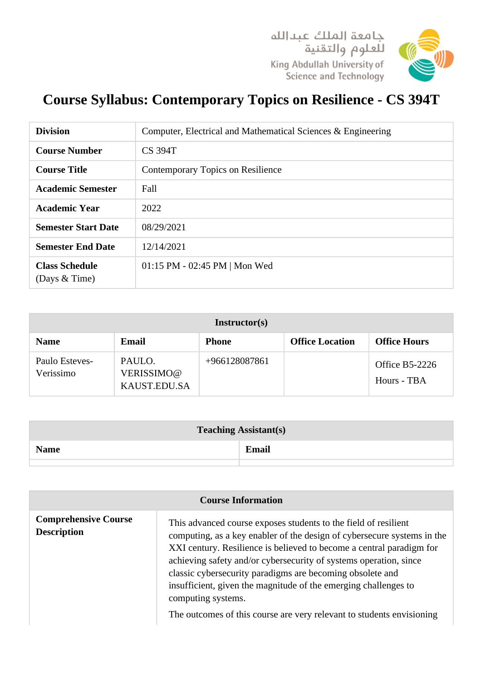



## **Course Syllabus: Contemporary Topics on Resilience - CS 394T**

| <b>Division</b>                          | Computer, Electrical and Mathematical Sciences & Engineering |
|------------------------------------------|--------------------------------------------------------------|
| <b>Course Number</b>                     | <b>CS 394T</b>                                               |
| <b>Course Title</b>                      | Contemporary Topics on Resilience                            |
| <b>Academic Semester</b>                 | Fall                                                         |
| <b>Academic Year</b>                     | 2022                                                         |
| <b>Semester Start Date</b>               | 08/29/2021                                                   |
| <b>Semester End Date</b>                 | 12/14/2021                                                   |
| <b>Class Schedule</b><br>(Days $&$ Time) | $01:15$ PM - 02:45 PM   Mon Wed                              |

| Instructor(s)               |                                      |                 |                        |                               |
|-----------------------------|--------------------------------------|-----------------|------------------------|-------------------------------|
| <b>Name</b>                 | Email                                | <b>Phone</b>    | <b>Office Location</b> | <b>Office Hours</b>           |
| Paulo Esteves-<br>Verissimo | PAULO.<br>VERISSIMO@<br>KAUST.EDU.SA | $+966128087861$ |                        | Office B5-2226<br>Hours - TBA |

| <b>Teaching Assistant(s)</b> |       |
|------------------------------|-------|
| <b>Name</b>                  | Email |
|                              |       |

| <b>Course Information</b>                         |                                                                                                                                                                                                                                                                                                                                                                                                                                               |  |
|---------------------------------------------------|-----------------------------------------------------------------------------------------------------------------------------------------------------------------------------------------------------------------------------------------------------------------------------------------------------------------------------------------------------------------------------------------------------------------------------------------------|--|
| <b>Comprehensive Course</b><br><b>Description</b> | This advanced course exposes students to the field of resilient<br>computing, as a key enabler of the design of cybersecure systems in the<br>XXI century. Resilience is believed to become a central paradigm for<br>achieving safety and/or cybersecurity of systems operation, since<br>classic cybersecurity paradigms are becoming obsolete and<br>insufficient, given the magnitude of the emerging challenges to<br>computing systems. |  |
|                                                   | The outcomes of this course are very relevant to students envisioning                                                                                                                                                                                                                                                                                                                                                                         |  |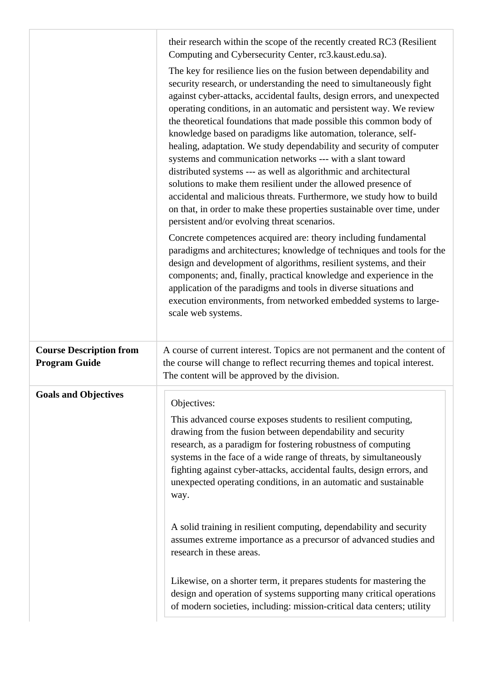|                                                        | their research within the scope of the recently created RC3 (Resilient<br>Computing and Cybersecurity Center, rc3.kaust.edu.sa).<br>The key for resilience lies on the fusion between dependability and<br>security research, or understanding the need to simultaneously fight<br>against cyber-attacks, accidental faults, design errors, and unexpected<br>operating conditions, in an automatic and persistent way. We review<br>the theoretical foundations that made possible this common body of<br>knowledge based on paradigms like automation, tolerance, self-<br>healing, adaptation. We study dependability and security of computer<br>systems and communication networks --- with a slant toward<br>distributed systems --- as well as algorithmic and architectural<br>solutions to make them resilient under the allowed presence of<br>accidental and malicious threats. Furthermore, we study how to build<br>on that, in order to make these properties sustainable over time, under<br>persistent and/or evolving threat scenarios.<br>Concrete competences acquired are: theory including fundamental<br>paradigms and architectures; knowledge of techniques and tools for the<br>design and development of algorithms, resilient systems, and their<br>components; and, finally, practical knowledge and experience in the<br>application of the paradigms and tools in diverse situations and<br>execution environments, from networked embedded systems to large-<br>scale web systems. |
|--------------------------------------------------------|-------------------------------------------------------------------------------------------------------------------------------------------------------------------------------------------------------------------------------------------------------------------------------------------------------------------------------------------------------------------------------------------------------------------------------------------------------------------------------------------------------------------------------------------------------------------------------------------------------------------------------------------------------------------------------------------------------------------------------------------------------------------------------------------------------------------------------------------------------------------------------------------------------------------------------------------------------------------------------------------------------------------------------------------------------------------------------------------------------------------------------------------------------------------------------------------------------------------------------------------------------------------------------------------------------------------------------------------------------------------------------------------------------------------------------------------------------------------------------------------------------------------|
| <b>Course Description from</b><br><b>Program Guide</b> | A course of current interest. Topics are not permanent and the content of<br>the course will change to reflect recurring themes and topical interest.<br>The content will be approved by the division.                                                                                                                                                                                                                                                                                                                                                                                                                                                                                                                                                                                                                                                                                                                                                                                                                                                                                                                                                                                                                                                                                                                                                                                                                                                                                                            |
| <b>Goals and Objectives</b>                            | Objectives:<br>This advanced course exposes students to resilient computing,<br>drawing from the fusion between dependability and security<br>research, as a paradigm for fostering robustness of computing<br>systems in the face of a wide range of threats, by simultaneously<br>fighting against cyber-attacks, accidental faults, design errors, and<br>unexpected operating conditions, in an automatic and sustainable<br>way.<br>A solid training in resilient computing, dependability and security<br>assumes extreme importance as a precursor of advanced studies and<br>research in these areas.<br>Likewise, on a shorter term, it prepares students for mastering the<br>design and operation of systems supporting many critical operations<br>of modern societies, including: mission-critical data centers; utility                                                                                                                                                                                                                                                                                                                                                                                                                                                                                                                                                                                                                                                                             |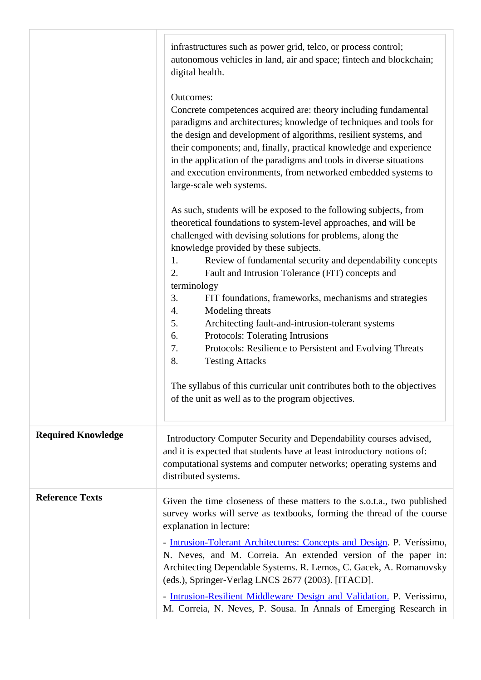|                           | infrastructures such as power grid, telco, or process control;<br>autonomous vehicles in land, air and space; fintech and blockchain;<br>digital health.<br>Outcomes:<br>Concrete competences acquired are: theory including fundamental<br>paradigms and architectures; knowledge of techniques and tools for<br>the design and development of algorithms, resilient systems, and<br>their components; and, finally, practical knowledge and experience<br>in the application of the paradigms and tools in diverse situations<br>and execution environments, from networked embedded systems to<br>large-scale web systems.<br>As such, students will be exposed to the following subjects, from<br>theoretical foundations to system-level approaches, and will be<br>challenged with devising solutions for problems, along the<br>knowledge provided by these subjects.<br>Review of fundamental security and dependability concepts<br>1.<br>Fault and Intrusion Tolerance (FIT) concepts and<br>2.<br>terminology<br>3.<br>FIT foundations, frameworks, mechanisms and strategies<br>Modeling threats<br>4.<br>Architecting fault-and-intrusion-tolerant systems<br>5.<br>Protocols: Tolerating Intrusions<br>6.<br>Protocols: Resilience to Persistent and Evolving Threats<br>7.<br>8.<br><b>Testing Attacks</b> |
|---------------------------|---------------------------------------------------------------------------------------------------------------------------------------------------------------------------------------------------------------------------------------------------------------------------------------------------------------------------------------------------------------------------------------------------------------------------------------------------------------------------------------------------------------------------------------------------------------------------------------------------------------------------------------------------------------------------------------------------------------------------------------------------------------------------------------------------------------------------------------------------------------------------------------------------------------------------------------------------------------------------------------------------------------------------------------------------------------------------------------------------------------------------------------------------------------------------------------------------------------------------------------------------------------------------------------------------------------------------|
|                           | The syllabus of this curricular unit contributes both to the objectives<br>of the unit as well as to the program objectives.                                                                                                                                                                                                                                                                                                                                                                                                                                                                                                                                                                                                                                                                                                                                                                                                                                                                                                                                                                                                                                                                                                                                                                                              |
| <b>Required Knowledge</b> | Introductory Computer Security and Dependability courses advised,<br>and it is expected that students have at least introductory notions of:<br>computational systems and computer networks; operating systems and<br>distributed systems.                                                                                                                                                                                                                                                                                                                                                                                                                                                                                                                                                                                                                                                                                                                                                                                                                                                                                                                                                                                                                                                                                |
| <b>Reference Texts</b>    | Given the time closeness of these matters to the s.o.t.a., two published<br>survey works will serve as textbooks, forming the thread of the course<br>explanation in lecture:<br>- Intrusion-Tolerant Architectures: Concepts and Design. P. Veríssimo,<br>N. Neves, and M. Correia. An extended version of the paper in:<br>Architecting Dependable Systems. R. Lemos, C. Gacek, A. Romanovsky<br>(eds.), Springer-Verlag LNCS 2677 (2003). [ITACD].<br>- Intrusion-Resilient Middleware Design and Validation. P. Verissimo,<br>M. Correia, N. Neves, P. Sousa. In Annals of Emerging Research in                                                                                                                                                                                                                                                                                                                                                                                                                                                                                                                                                                                                                                                                                                                       |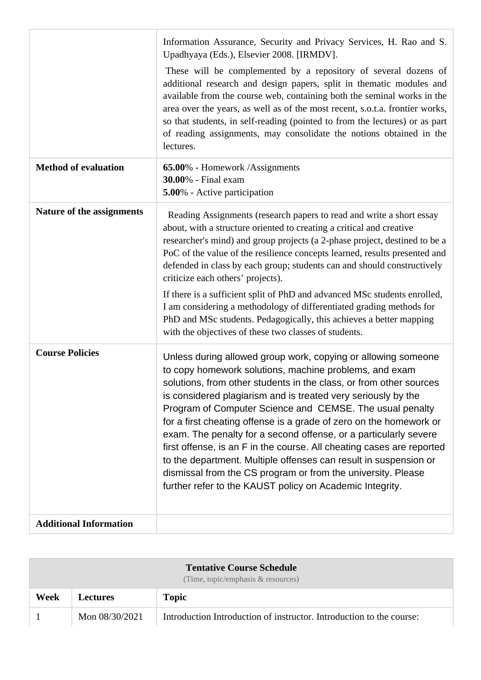|                               | Information Assurance, Security and Privacy Services, H. Rao and S.<br>Upadhyaya (Eds.), Elsevier 2008. [IRMDV].                                                                                                                                                                                                                                                                                                                                                                                                                                                                                                                                                                                                                              |
|-------------------------------|-----------------------------------------------------------------------------------------------------------------------------------------------------------------------------------------------------------------------------------------------------------------------------------------------------------------------------------------------------------------------------------------------------------------------------------------------------------------------------------------------------------------------------------------------------------------------------------------------------------------------------------------------------------------------------------------------------------------------------------------------|
|                               | These will be complemented by a repository of several dozens of<br>additional research and design papers, split in thematic modules and<br>available from the course web, containing both the seminal works in the<br>area over the years, as well as of the most recent, s.o.t.a. frontier works,<br>so that students, in self-reading (pointed to from the lectures) or as part<br>of reading assignments, may consolidate the notions obtained in the<br>lectures.                                                                                                                                                                                                                                                                         |
| <b>Method of evaluation</b>   | 65.00% - Homework / Assignments<br><b>30.00%</b> - Final exam<br><b>5.00%</b> - Active participation                                                                                                                                                                                                                                                                                                                                                                                                                                                                                                                                                                                                                                          |
| Nature of the assignments     | Reading Assignments (research papers to read and write a short essay<br>about, with a structure oriented to creating a critical and creative<br>researcher's mind) and group projects (a 2-phase project, destined to be a<br>PoC of the value of the resilience concepts learned, results presented and<br>defended in class by each group; students can and should constructively<br>criticize each others' projects).<br>If there is a sufficient split of PhD and advanced MSc students enrolled,<br>I am considering a methodology of differentiated grading methods for<br>PhD and MSc students. Pedagogically, this achieves a better mapping<br>with the objectives of these two classes of students.                                 |
| <b>Course Policies</b>        | Unless during allowed group work, copying or allowing someone<br>to copy homework solutions, machine problems, and exam<br>solutions, from other students in the class, or from other sources<br>is considered plagiarism and is treated very seriously by the<br>Program of Computer Science and CEMSE. The usual penalty<br>for a first cheating offense is a grade of zero on the homework or<br>exam. The penalty for a second offense, or a particularly severe<br>first offense, is an F in the course. All cheating cases are reported<br>to the department. Multiple offenses can result in suspension or<br>dismissal from the CS program or from the university. Please<br>further refer to the KAUST policy on Academic Integrity. |
| <b>Additional Information</b> |                                                                                                                                                                                                                                                                                                                                                                                                                                                                                                                                                                                                                                                                                                                                               |

| <b>Tentative Course Schedule</b><br>(Time, topic/emphasis & resources) |                 |                                                                      |
|------------------------------------------------------------------------|-----------------|----------------------------------------------------------------------|
| Week                                                                   | <b>Lectures</b> | <b>Topic</b>                                                         |
|                                                                        | Mon 08/30/2021  | Introduction Introduction of instructor. Introduction to the course: |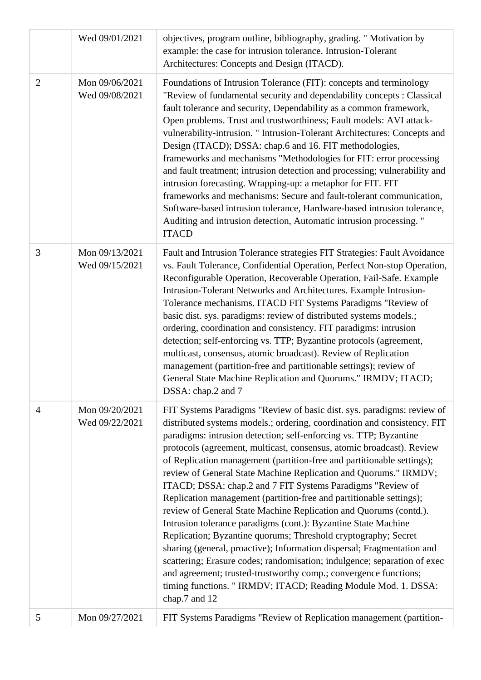|                | Wed 09/01/2021                   | objectives, program outline, bibliography, grading. " Motivation by<br>example: the case for intrusion tolerance. Intrusion-Tolerant<br>Architectures: Concepts and Design (ITACD).                                                                                                                                                                                                                                                                                                                                                                                                                                                                                                                                                                                                                                                                                                                                                                                                                                                                                                                       |
|----------------|----------------------------------|-----------------------------------------------------------------------------------------------------------------------------------------------------------------------------------------------------------------------------------------------------------------------------------------------------------------------------------------------------------------------------------------------------------------------------------------------------------------------------------------------------------------------------------------------------------------------------------------------------------------------------------------------------------------------------------------------------------------------------------------------------------------------------------------------------------------------------------------------------------------------------------------------------------------------------------------------------------------------------------------------------------------------------------------------------------------------------------------------------------|
| $\overline{2}$ | Mon 09/06/2021<br>Wed 09/08/2021 | Foundations of Intrusion Tolerance (FIT): concepts and terminology<br>"Review of fundamental security and dependability concepts : Classical<br>fault tolerance and security, Dependability as a common framework,<br>Open problems. Trust and trustworthiness; Fault models: AVI attack-<br>vulnerability-intrusion. " Intrusion-Tolerant Architectures: Concepts and<br>Design (ITACD); DSSA: chap.6 and 16. FIT methodologies,<br>frameworks and mechanisms "Methodologies for FIT: error processing<br>and fault treatment; intrusion detection and processing; vulnerability and<br>intrusion forecasting. Wrapping-up: a metaphor for FIT. FIT<br>frameworks and mechanisms: Secure and fault-tolerant communication,<br>Software-based intrusion tolerance, Hardware-based intrusion tolerance,<br>Auditing and intrusion detection, Automatic intrusion processing. "<br><b>ITACD</b>                                                                                                                                                                                                             |
| 3              | Mon 09/13/2021<br>Wed 09/15/2021 | Fault and Intrusion Tolerance strategies FIT Strategies: Fault Avoidance<br>vs. Fault Tolerance, Confidential Operation, Perfect Non-stop Operation,<br>Reconfigurable Operation, Recoverable Operation, Fail-Safe. Example<br>Intrusion-Tolerant Networks and Architectures. Example Intrusion-<br>Tolerance mechanisms. ITACD FIT Systems Paradigms "Review of<br>basic dist. sys. paradigms: review of distributed systems models.;<br>ordering, coordination and consistency. FIT paradigms: intrusion<br>detection; self-enforcing vs. TTP; Byzantine protocols (agreement,<br>multicast, consensus, atomic broadcast). Review of Replication<br>management (partition-free and partitionable settings); review of<br>General State Machine Replication and Quorums." IRMDV; ITACD;<br>DSSA: chap.2 and 7                                                                                                                                                                                                                                                                                            |
| $\overline{4}$ | Mon 09/20/2021<br>Wed 09/22/2021 | FIT Systems Paradigms "Review of basic dist. sys. paradigms: review of<br>distributed systems models.; ordering, coordination and consistency. FIT<br>paradigms: intrusion detection; self-enforcing vs. TTP; Byzantine<br>protocols (agreement, multicast, consensus, atomic broadcast). Review<br>of Replication management (partition-free and partitionable settings);<br>review of General State Machine Replication and Quorums." IRMDV;<br>ITACD; DSSA: chap.2 and 7 FIT Systems Paradigms "Review of<br>Replication management (partition-free and partitionable settings);<br>review of General State Machine Replication and Quorums (contd.).<br>Intrusion tolerance paradigms (cont.): Byzantine State Machine<br>Replication; Byzantine quorums; Threshold cryptography; Secret<br>sharing (general, proactive); Information dispersal; Fragmentation and<br>scattering; Erasure codes; randomisation; indulgence; separation of exec<br>and agreement; trusted-trustworthy comp.; convergence functions;<br>timing functions. " IRMDV; ITACD; Reading Module Mod. 1. DSSA:<br>chap.7 and 12 |
| 5              | Mon 09/27/2021                   | FIT Systems Paradigms "Review of Replication management (partition-                                                                                                                                                                                                                                                                                                                                                                                                                                                                                                                                                                                                                                                                                                                                                                                                                                                                                                                                                                                                                                       |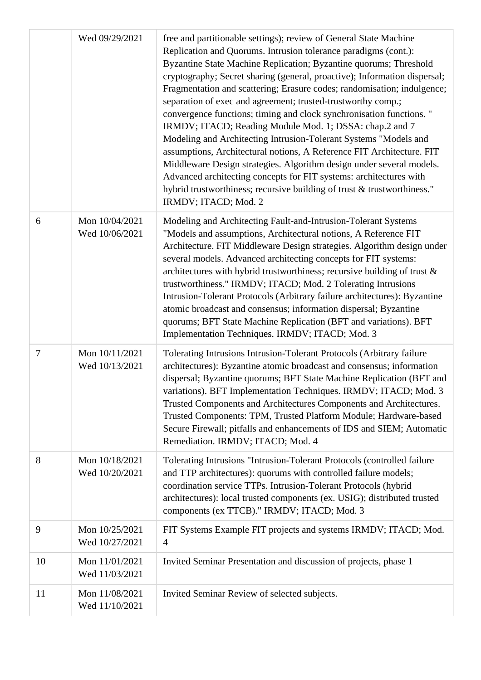|    | Wed 09/29/2021                   | free and partitionable settings); review of General State Machine<br>Replication and Quorums. Intrusion tolerance paradigms (cont.):<br>Byzantine State Machine Replication; Byzantine quorums; Threshold<br>cryptography; Secret sharing (general, proactive); Information dispersal;<br>Fragmentation and scattering; Erasure codes; randomisation; indulgence;<br>separation of exec and agreement; trusted-trustworthy comp.;<br>convergence functions; timing and clock synchronisation functions."<br>IRMDV; ITACD; Reading Module Mod. 1; DSSA: chap.2 and 7<br>Modeling and Architecting Intrusion-Tolerant Systems "Models and<br>assumptions, Architectural notions, A Reference FIT Architecture. FIT<br>Middleware Design strategies. Algorithm design under several models.<br>Advanced architecting concepts for FIT systems: architectures with<br>hybrid trustworthiness; recursive building of trust & trustworthiness."<br>IRMDV; ITACD; Mod. 2 |
|----|----------------------------------|-------------------------------------------------------------------------------------------------------------------------------------------------------------------------------------------------------------------------------------------------------------------------------------------------------------------------------------------------------------------------------------------------------------------------------------------------------------------------------------------------------------------------------------------------------------------------------------------------------------------------------------------------------------------------------------------------------------------------------------------------------------------------------------------------------------------------------------------------------------------------------------------------------------------------------------------------------------------|
| 6  | Mon 10/04/2021<br>Wed 10/06/2021 | Modeling and Architecting Fault-and-Intrusion-Tolerant Systems<br>"Models and assumptions, Architectural notions, A Reference FIT<br>Architecture. FIT Middleware Design strategies. Algorithm design under<br>several models. Advanced architecting concepts for FIT systems:<br>architectures with hybrid trustworthiness; recursive building of trust &<br>trustworthiness." IRMDV; ITACD; Mod. 2 Tolerating Intrusions<br>Intrusion-Tolerant Protocols (Arbitrary failure architectures): Byzantine<br>atomic broadcast and consensus; information dispersal; Byzantine<br>quorums; BFT State Machine Replication (BFT and variations). BFT<br>Implementation Techniques. IRMDV; ITACD; Mod. 3                                                                                                                                                                                                                                                                |
| 7  | Mon 10/11/2021<br>Wed 10/13/2021 | Tolerating Intrusions Intrusion-Tolerant Protocols (Arbitrary failure<br>architectures): Byzantine atomic broadcast and consensus; information<br>dispersal; Byzantine quorums; BFT State Machine Replication (BFT and<br>variations). BFT Implementation Techniques. IRMDV; ITACD; Mod. 3<br>Trusted Components and Architectures Components and Architectures.<br>Trusted Components: TPM, Trusted Platform Module; Hardware-based<br>Secure Firewall; pitfalls and enhancements of IDS and SIEM; Automatic<br>Remediation. IRMDV; ITACD; Mod. 4                                                                                                                                                                                                                                                                                                                                                                                                                |
| 8  | Mon 10/18/2021<br>Wed 10/20/2021 | Tolerating Intrusions "Intrusion-Tolerant Protocols (controlled failure<br>and TTP architectures): quorums with controlled failure models;<br>coordination service TTPs. Intrusion-Tolerant Protocols (hybrid<br>architectures): local trusted components (ex. USIG); distributed trusted<br>components (ex TTCB)." IRMDV; ITACD; Mod. 3                                                                                                                                                                                                                                                                                                                                                                                                                                                                                                                                                                                                                          |
| 9  | Mon 10/25/2021<br>Wed 10/27/2021 | FIT Systems Example FIT projects and systems IRMDV; ITACD; Mod.<br>$\overline{4}$                                                                                                                                                                                                                                                                                                                                                                                                                                                                                                                                                                                                                                                                                                                                                                                                                                                                                 |
| 10 | Mon 11/01/2021<br>Wed 11/03/2021 | Invited Seminar Presentation and discussion of projects, phase 1                                                                                                                                                                                                                                                                                                                                                                                                                                                                                                                                                                                                                                                                                                                                                                                                                                                                                                  |
| 11 | Mon 11/08/2021<br>Wed 11/10/2021 | Invited Seminar Review of selected subjects.                                                                                                                                                                                                                                                                                                                                                                                                                                                                                                                                                                                                                                                                                                                                                                                                                                                                                                                      |